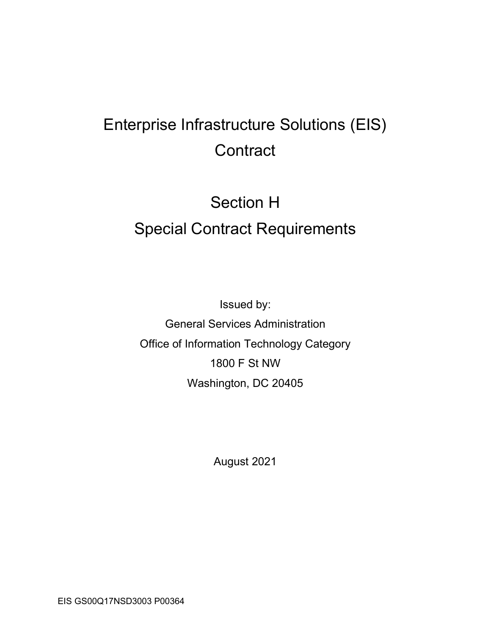# Enterprise Infrastructure Solutions (EIS) **Contract**

# Section H Special Contract Requirements

Issued by: General Services Administration Office of Information Technology Category 1800 F St NW Washington, DC 20405

August 2021

EIS GS00Q17NSD3003 P00364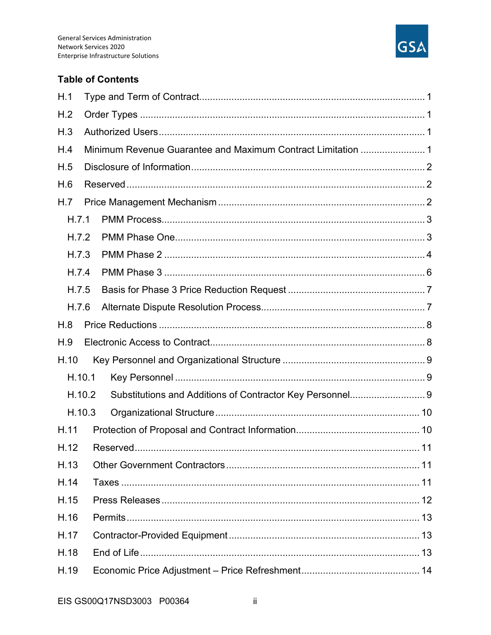

#### **Table of Contents**

| H.1    |  |                                                              |  |  |  |  |
|--------|--|--------------------------------------------------------------|--|--|--|--|
| H.2    |  |                                                              |  |  |  |  |
| H.3    |  |                                                              |  |  |  |  |
| H.4    |  | Minimum Revenue Guarantee and Maximum Contract Limitation  1 |  |  |  |  |
| H.5    |  |                                                              |  |  |  |  |
| H.6    |  |                                                              |  |  |  |  |
| H.7    |  |                                                              |  |  |  |  |
| H.7.1  |  |                                                              |  |  |  |  |
| H.7.2  |  |                                                              |  |  |  |  |
| H.7.3  |  |                                                              |  |  |  |  |
| H.7.4  |  |                                                              |  |  |  |  |
| H.7.5  |  |                                                              |  |  |  |  |
| H.7.6  |  |                                                              |  |  |  |  |
| H.8    |  |                                                              |  |  |  |  |
| H.9    |  |                                                              |  |  |  |  |
| H.10   |  |                                                              |  |  |  |  |
| H.10.1 |  |                                                              |  |  |  |  |
| H.10.2 |  | Substitutions and Additions of Contractor Key Personnel 9    |  |  |  |  |
| H.10.3 |  |                                                              |  |  |  |  |
| H.11   |  |                                                              |  |  |  |  |
|        |  |                                                              |  |  |  |  |
| H.13   |  |                                                              |  |  |  |  |
| H.14   |  |                                                              |  |  |  |  |
| H.15   |  |                                                              |  |  |  |  |
| H.16   |  |                                                              |  |  |  |  |
| H.17   |  |                                                              |  |  |  |  |
| H.18   |  |                                                              |  |  |  |  |
| H.19   |  |                                                              |  |  |  |  |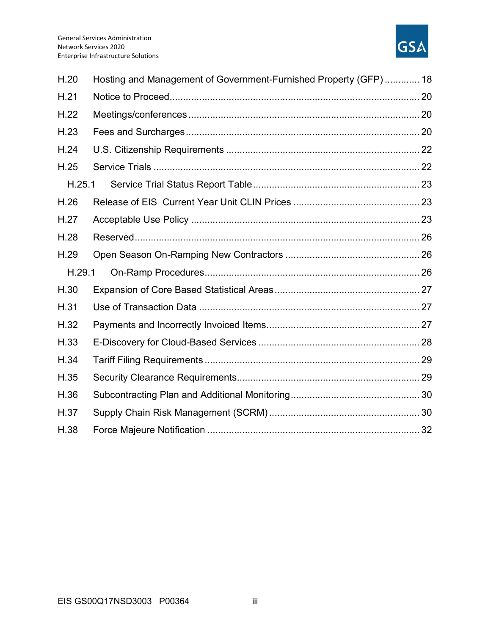

| H.20   | Hosting and Management of Government-Furnished Property (GFP)  18 |  |  |  |  |
|--------|-------------------------------------------------------------------|--|--|--|--|
| H.21   |                                                                   |  |  |  |  |
| H.22   |                                                                   |  |  |  |  |
| H.23   |                                                                   |  |  |  |  |
| H.24   |                                                                   |  |  |  |  |
| H.25   |                                                                   |  |  |  |  |
| H.25.1 |                                                                   |  |  |  |  |
| H.26   |                                                                   |  |  |  |  |
| H.27   |                                                                   |  |  |  |  |
| H.28   |                                                                   |  |  |  |  |
| H.29   |                                                                   |  |  |  |  |
| H.29.1 |                                                                   |  |  |  |  |
| H.30   |                                                                   |  |  |  |  |
| H.31   |                                                                   |  |  |  |  |
| H.32   |                                                                   |  |  |  |  |
| H.33   |                                                                   |  |  |  |  |
| H.34   |                                                                   |  |  |  |  |
| H.35   |                                                                   |  |  |  |  |
| H.36   |                                                                   |  |  |  |  |
| H.37   |                                                                   |  |  |  |  |
| H.38   |                                                                   |  |  |  |  |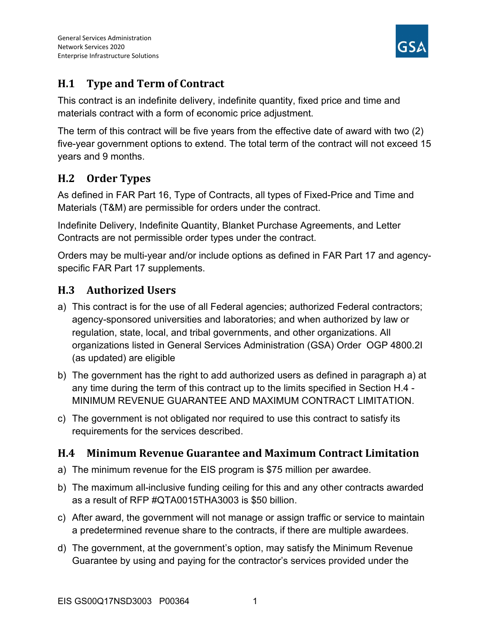

# H.1 Type and Term of Contract

This contract is an indefinite delivery, indefinite quantity, fixed price and time and materials contract with a form of economic price adjustment.

The term of this contract will be five years from the effective date of award with two (2) five-year government options to extend. The total term of the contract will not exceed 15 years and 9 months.

# H.2 Order Types

As defined in FAR Part 16, Type of Contracts, all types of Fixed-Price and Time and Materials (T&M) are permissible for orders under the contract.

Indefinite Delivery, Indefinite Quantity, Blanket Purchase Agreements, and Letter Contracts are not permissible order types under the contract.

Orders may be multi-year and/or include options as defined in FAR Part 17 and agencyspecific FAR Part 17 supplements.

# H.3 Authorized Users

- a) This contract is for the use of all Federal agencies; authorized Federal contractors; agency-sponsored universities and laboratories; and when authorized by law or regulation, state, local, and tribal governments, and other organizations. All organizations listed in General Services Administration (GSA) Order OGP 4800.2I (as updated) are eligible
- b) The government has the right to add authorized users as defined in paragraph a) at any time during the term of this contract up to the limits specified in Section H.4 - MINIMUM REVENUE GUARANTEE AND MAXIMUM CONTRACT LIMITATION.
- c) The government is not obligated nor required to use this contract to satisfy its requirements for the services described.

# H.4 Minimum Revenue Guarantee and Maximum Contract Limitation

- a) The minimum revenue for the EIS program is \$75 million per awardee.
- b) The maximum all-inclusive funding ceiling for this and any other contracts awarded as a result of RFP #QTA0015THA3003 is \$50 billion.
- c) After award, the government will not manage or assign traffic or service to maintain a predetermined revenue share to the contracts, if there are multiple awardees.
- d) The government, at the government's option, may satisfy the Minimum Revenue Guarantee by using and paying for the contractor's services provided under the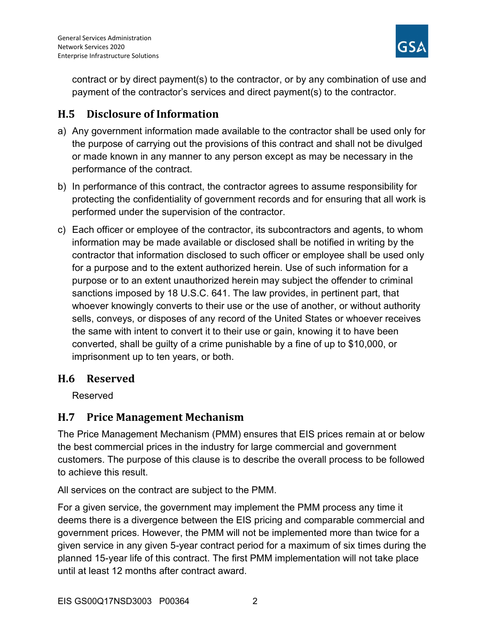

contract or by direct payment(s) to the contractor, or by any combination of use and payment of the contractor's services and direct payment(s) to the contractor.

# H.5 Disclosure of Information

- a) Any government information made available to the contractor shall be used only for the purpose of carrying out the provisions of this contract and shall not be divulged or made known in any manner to any person except as may be necessary in the performance of the contract.
- b) In performance of this contract, the contractor agrees to assume responsibility for protecting the confidentiality of government records and for ensuring that all work is performed under the supervision of the contractor.
- c) Each officer or employee of the contractor, its subcontractors and agents, to whom information may be made available or disclosed shall be notified in writing by the contractor that information disclosed to such officer or employee shall be used only for a purpose and to the extent authorized herein. Use of such information for a purpose or to an extent unauthorized herein may subject the offender to criminal sanctions imposed by 18 U.S.C. 641. The law provides, in pertinent part, that whoever knowingly converts to their use or the use of another, or without authority sells, conveys, or disposes of any record of the United States or whoever receives the same with intent to convert it to their use or gain, knowing it to have been converted, shall be guilty of a crime punishable by a fine of up to \$10,000, or imprisonment up to ten years, or both.

## H.6 Reserved

Reserved

## H.7 Price Management Mechanism

The Price Management Mechanism (PMM) ensures that EIS prices remain at or below the best commercial prices in the industry for large commercial and government customers. The purpose of this clause is to describe the overall process to be followed to achieve this result.

All services on the contract are subject to the PMM.

For a given service, the government may implement the PMM process any time it deems there is a divergence between the EIS pricing and comparable commercial and government prices. However, the PMM will not be implemented more than twice for a given service in any given 5-year contract period for a maximum of six times during the planned 15-year life of this contract. The first PMM implementation will not take place until at least 12 months after contract award.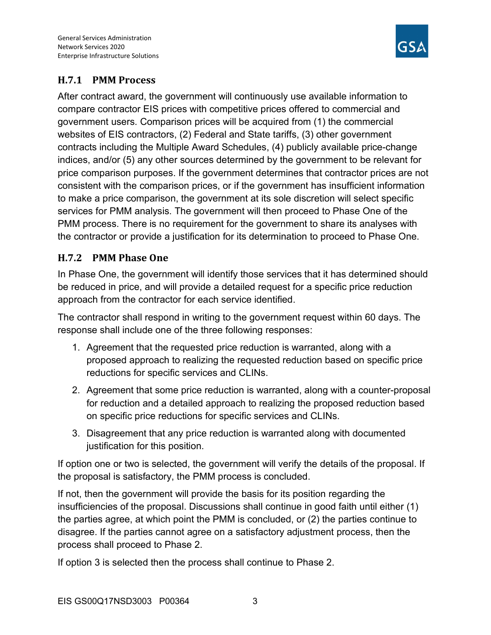

## H.7.1 PMM Process

After contract award, the government will continuously use available information to compare contractor EIS prices with competitive prices offered to commercial and government users. Comparison prices will be acquired from (1) the commercial websites of EIS contractors, (2) Federal and State tariffs, (3) other government contracts including the Multiple Award Schedules, (4) publicly available price-change indices, and/or (5) any other sources determined by the government to be relevant for price comparison purposes. If the government determines that contractor prices are not consistent with the comparison prices, or if the government has insufficient information to make a price comparison, the government at its sole discretion will select specific services for PMM analysis. The government will then proceed to Phase One of the PMM process. There is no requirement for the government to share its analyses with the contractor or provide a justification for its determination to proceed to Phase One.

## H.7.2 PMM Phase One

In Phase One, the government will identify those services that it has determined should be reduced in price, and will provide a detailed request for a specific price reduction approach from the contractor for each service identified.

The contractor shall respond in writing to the government request within 60 days. The response shall include one of the three following responses:

- 1. Agreement that the requested price reduction is warranted, along with a proposed approach to realizing the requested reduction based on specific price reductions for specific services and CLINs.
- 2. Agreement that some price reduction is warranted, along with a counter-proposal for reduction and a detailed approach to realizing the proposed reduction based on specific price reductions for specific services and CLINs.
- 3. Disagreement that any price reduction is warranted along with documented justification for this position.

If option one or two is selected, the government will verify the details of the proposal. If the proposal is satisfactory, the PMM process is concluded.

If not, then the government will provide the basis for its position regarding the insufficiencies of the proposal. Discussions shall continue in good faith until either (1) the parties agree, at which point the PMM is concluded, or (2) the parties continue to disagree. If the parties cannot agree on a satisfactory adjustment process, then the process shall proceed to Phase 2.

If option 3 is selected then the process shall continue to Phase 2.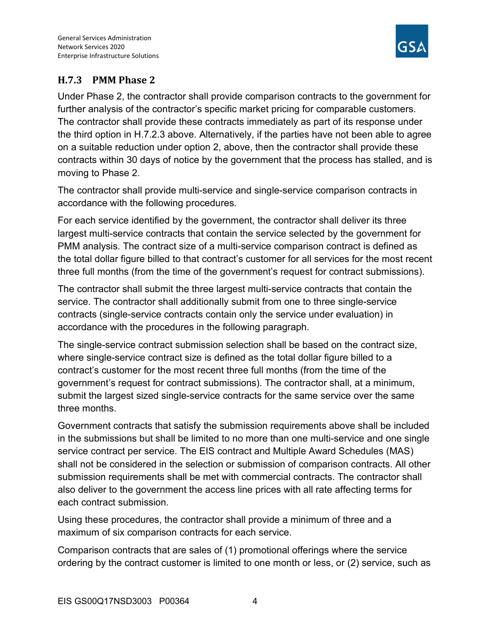

## H.7.3 PMM Phase 2

Under Phase 2, the contractor shall provide comparison contracts to the government for further analysis of the contractor's specific market pricing for comparable customers. The contractor shall provide these contracts immediately as part of its response under the third option in H.7.2.3 above. Alternatively, if the parties have not been able to agree on a suitable reduction under option 2, above, then the contractor shall provide these contracts within 30 days of notice by the government that the process has stalled, and is moving to Phase 2.

The contractor shall provide multi-service and single-service comparison contracts in accordance with the following procedures.

For each service identified by the government, the contractor shall deliver its three largest multi-service contracts that contain the service selected by the government for PMM analysis. The contract size of a multi-service comparison contract is defined as the total dollar figure billed to that contract's customer for all services for the most recent three full months (from the time of the government's request for contract submissions).

The contractor shall submit the three largest multi-service contracts that contain the service. The contractor shall additionally submit from one to three single-service contracts (single-service contracts contain only the service under evaluation) in accordance with the procedures in the following paragraph.

The single-service contract submission selection shall be based on the contract size, where single-service contract size is defined as the total dollar figure billed to a contract's customer for the most recent three full months (from the time of the government's request for contract submissions). The contractor shall, at a minimum, submit the largest sized single-service contracts for the same service over the same three months.

Government contracts that satisfy the submission requirements above shall be included in the submissions but shall be limited to no more than one multi-service and one single service contract per service. The EIS contract and Multiple Award Schedules (MAS) shall not be considered in the selection or submission of comparison contracts. All other submission requirements shall be met with commercial contracts. The contractor shall also deliver to the government the access line prices with all rate affecting terms for each contract submission.

Using these procedures, the contractor shall provide a minimum of three and a maximum of six comparison contracts for each service.

Comparison contracts that are sales of (1) promotional offerings where the service ordering by the contract customer is limited to one month or less, or (2) service, such as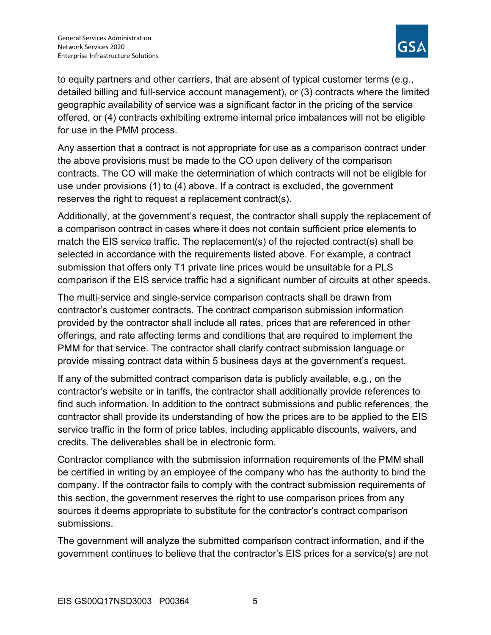

to equity partners and other carriers, that are absent of typical customer terms (e.g., detailed billing and full-service account management), or (3) contracts where the limited geographic availability of service was a significant factor in the pricing of the service offered, or (4) contracts exhibiting extreme internal price imbalances will not be eligible for use in the PMM process.

Any assertion that a contract is not appropriate for use as a comparison contract under the above provisions must be made to the CO upon delivery of the comparison contracts. The CO will make the determination of which contracts will not be eligible for use under provisions (1) to (4) above. If a contract is excluded, the government reserves the right to request a replacement contract(s).

Additionally, at the government's request, the contractor shall supply the replacement of a comparison contract in cases where it does not contain sufficient price elements to match the EIS service traffic. The replacement(s) of the rejected contract(s) shall be selected in accordance with the requirements listed above. For example, a contract submission that offers only T1 private line prices would be unsuitable for a PLS comparison if the EIS service traffic had a significant number of circuits at other speeds.

The multi-service and single-service comparison contracts shall be drawn from contractor's customer contracts. The contract comparison submission information provided by the contractor shall include all rates, prices that are referenced in other offerings, and rate affecting terms and conditions that are required to implement the PMM for that service. The contractor shall clarify contract submission language or provide missing contract data within 5 business days at the government's request.

If any of the submitted contract comparison data is publicly available, e.g., on the contractor's website or in tariffs, the contractor shall additionally provide references to find such information. In addition to the contract submissions and public references, the contractor shall provide its understanding of how the prices are to be applied to the EIS service traffic in the form of price tables, including applicable discounts, waivers, and credits. The deliverables shall be in electronic form.

Contractor compliance with the submission information requirements of the PMM shall be certified in writing by an employee of the company who has the authority to bind the company. If the contractor fails to comply with the contract submission requirements of this section, the government reserves the right to use comparison prices from any sources it deems appropriate to substitute for the contractor's contract comparison submissions.

The government will analyze the submitted comparison contract information, and if the government continues to believe that the contractor's EIS prices for a service(s) are not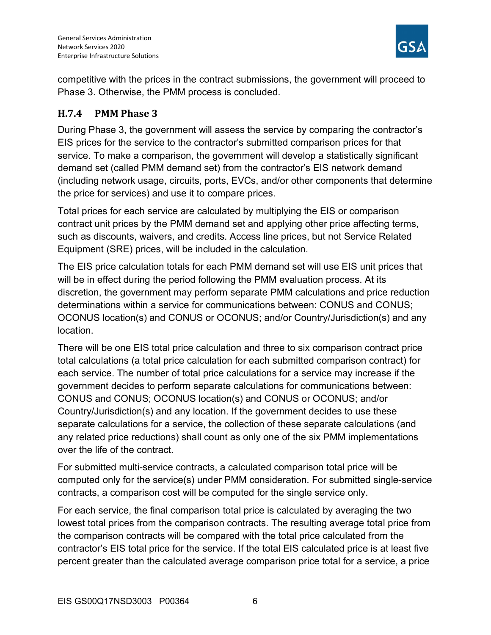

competitive with the prices in the contract submissions, the government will proceed to Phase 3. Otherwise, the PMM process is concluded.

#### H.7.4 PMM Phase 3

During Phase 3, the government will assess the service by comparing the contractor's EIS prices for the service to the contractor's submitted comparison prices for that service. To make a comparison, the government will develop a statistically significant demand set (called PMM demand set) from the contractor's EIS network demand (including network usage, circuits, ports, EVCs, and/or other components that determine the price for services) and use it to compare prices.

Total prices for each service are calculated by multiplying the EIS or comparison contract unit prices by the PMM demand set and applying other price affecting terms, such as discounts, waivers, and credits. Access line prices, but not Service Related Equipment (SRE) prices, will be included in the calculation.

The EIS price calculation totals for each PMM demand set will use EIS unit prices that will be in effect during the period following the PMM evaluation process. At its discretion, the government may perform separate PMM calculations and price reduction determinations within a service for communications between: CONUS and CONUS; OCONUS location(s) and CONUS or OCONUS; and/or Country/Jurisdiction(s) and any location.

There will be one EIS total price calculation and three to six comparison contract price total calculations (a total price calculation for each submitted comparison contract) for each service. The number of total price calculations for a service may increase if the government decides to perform separate calculations for communications between: CONUS and CONUS; OCONUS location(s) and CONUS or OCONUS; and/or Country/Jurisdiction(s) and any location. If the government decides to use these separate calculations for a service, the collection of these separate calculations (and any related price reductions) shall count as only one of the six PMM implementations over the life of the contract.

For submitted multi-service contracts, a calculated comparison total price will be computed only for the service(s) under PMM consideration. For submitted single-service contracts, a comparison cost will be computed for the single service only.

For each service, the final comparison total price is calculated by averaging the two lowest total prices from the comparison contracts. The resulting average total price from the comparison contracts will be compared with the total price calculated from the contractor's EIS total price for the service. If the total EIS calculated price is at least five percent greater than the calculated average comparison price total for a service, a price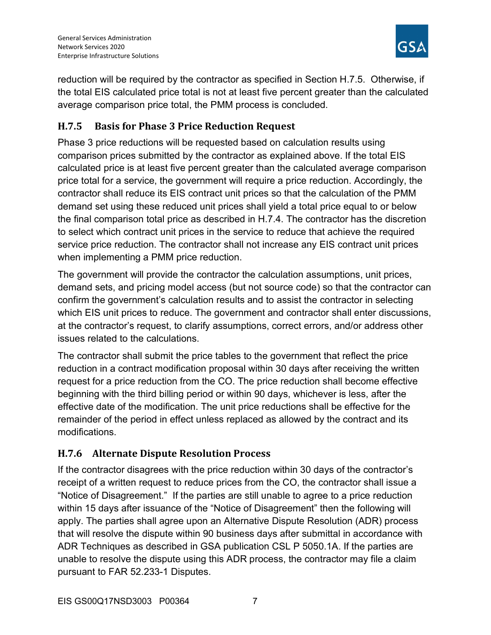

reduction will be required by the contractor as specified in Section H.7.5. Otherwise, if the total EIS calculated price total is not at least five percent greater than the calculated average comparison price total, the PMM process is concluded.

## H.7.5 Basis for Phase 3 Price Reduction Request

Phase 3 price reductions will be requested based on calculation results using comparison prices submitted by the contractor as explained above. If the total EIS calculated price is at least five percent greater than the calculated average comparison price total for a service, the government will require a price reduction. Accordingly, the contractor shall reduce its EIS contract unit prices so that the calculation of the PMM demand set using these reduced unit prices shall yield a total price equal to or below the final comparison total price as described in H.7.4. The contractor has the discretion to select which contract unit prices in the service to reduce that achieve the required service price reduction. The contractor shall not increase any EIS contract unit prices when implementing a PMM price reduction.

The government will provide the contractor the calculation assumptions, unit prices, demand sets, and pricing model access (but not source code) so that the contractor can confirm the government's calculation results and to assist the contractor in selecting which EIS unit prices to reduce. The government and contractor shall enter discussions, at the contractor's request, to clarify assumptions, correct errors, and/or address other issues related to the calculations.

The contractor shall submit the price tables to the government that reflect the price reduction in a contract modification proposal within 30 days after receiving the written request for a price reduction from the CO. The price reduction shall become effective beginning with the third billing period or within 90 days, whichever is less, after the effective date of the modification. The unit price reductions shall be effective for the remainder of the period in effect unless replaced as allowed by the contract and its modifications.

## H.7.6 Alternate Dispute Resolution Process

If the contractor disagrees with the price reduction within 30 days of the contractor's receipt of a written request to reduce prices from the CO, the contractor shall issue a "Notice of Disagreement." If the parties are still unable to agree to a price reduction within 15 days after issuance of the "Notice of Disagreement" then the following will apply. The parties shall agree upon an Alternative Dispute Resolution (ADR) process that will resolve the dispute within 90 business days after submittal in accordance with ADR Techniques as described in GSA publication CSL P 5050.1A. If the parties are unable to resolve the dispute using this ADR process, the contractor may file a claim pursuant to FAR 52.233-1 Disputes.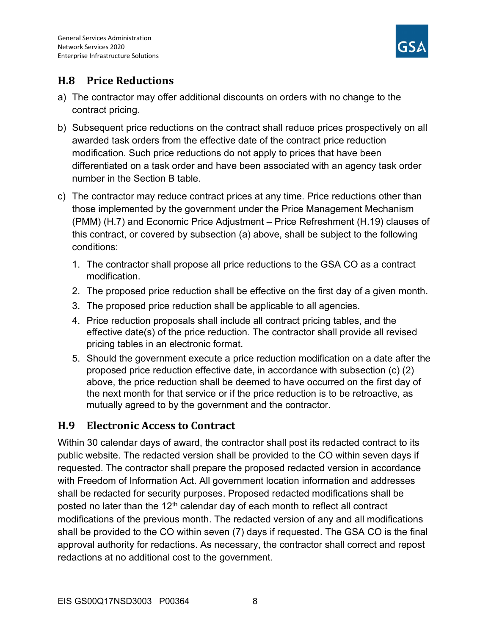

## H.8 Price Reductions

- a) The contractor may offer additional discounts on orders with no change to the contract pricing.
- b) Subsequent price reductions on the contract shall reduce prices prospectively on all awarded task orders from the effective date of the contract price reduction modification. Such price reductions do not apply to prices that have been differentiated on a task order and have been associated with an agency task order number in the Section B table.
- c) The contractor may reduce contract prices at any time. Price reductions other than those implemented by the government under the Price Management Mechanism (PMM) (H.7) and Economic Price Adjustment – Price Refreshment (H.19) clauses of this contract, or covered by subsection (a) above, shall be subject to the following conditions:
	- 1. The contractor shall propose all price reductions to the GSA CO as a contract modification.
	- 2. The proposed price reduction shall be effective on the first day of a given month.
	- 3. The proposed price reduction shall be applicable to all agencies.
	- 4. Price reduction proposals shall include all contract pricing tables, and the effective date(s) of the price reduction. The contractor shall provide all revised pricing tables in an electronic format.
	- 5. Should the government execute a price reduction modification on a date after the proposed price reduction effective date, in accordance with subsection (c) (2) above, the price reduction shall be deemed to have occurred on the first day of the next month for that service or if the price reduction is to be retroactive, as mutually agreed to by the government and the contractor.

## H.9 Electronic Access to Contract

Within 30 calendar days of award, the contractor shall post its redacted contract to its public website. The redacted version shall be provided to the CO within seven days if requested. The contractor shall prepare the proposed redacted version in accordance with Freedom of Information Act. All government location information and addresses shall be redacted for security purposes. Proposed redacted modifications shall be posted no later than the  $12<sup>th</sup>$  calendar day of each month to reflect all contract modifications of the previous month. The redacted version of any and all modifications shall be provided to the CO within seven (7) days if requested. The GSA CO is the final approval authority for redactions. As necessary, the contractor shall correct and repost redactions at no additional cost to the government.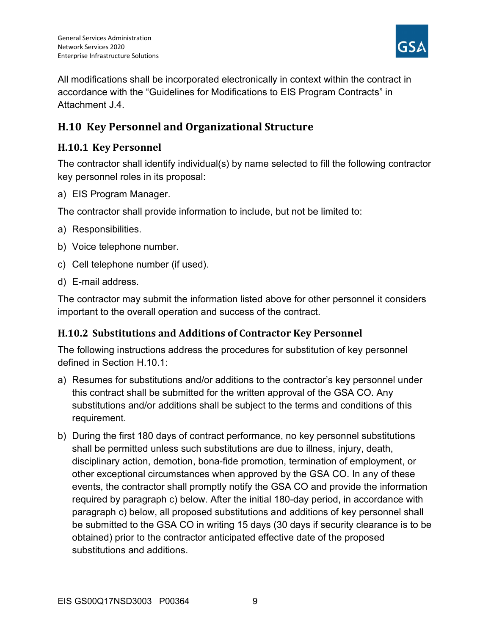

All modifications shall be incorporated electronically in context within the contract in accordance with the "Guidelines for Modifications to EIS Program Contracts" in Attachment J.4.

# H.10 Key Personnel and Organizational Structure

#### H.10.1 Key Personnel

The contractor shall identify individual(s) by name selected to fill the following contractor key personnel roles in its proposal:

a) EIS Program Manager.

The contractor shall provide information to include, but not be limited to:

- a) Responsibilities.
- b) Voice telephone number.
- c) Cell telephone number (if used).
- d) E-mail address.

The contractor may submit the information listed above for other personnel it considers important to the overall operation and success of the contract.

#### H.10.2 Substitutions and Additions of Contractor Key Personnel

The following instructions address the procedures for substitution of key personnel defined in Section H.10.1:

- a) Resumes for substitutions and/or additions to the contractor's key personnel under this contract shall be submitted for the written approval of the GSA CO. Any substitutions and/or additions shall be subject to the terms and conditions of this requirement.
- b) During the first 180 days of contract performance, no key personnel substitutions shall be permitted unless such substitutions are due to illness, injury, death, disciplinary action, demotion, bona-fide promotion, termination of employment, or other exceptional circumstances when approved by the GSA CO. In any of these events, the contractor shall promptly notify the GSA CO and provide the information required by paragraph c) below. After the initial 180-day period, in accordance with paragraph c) below, all proposed substitutions and additions of key personnel shall be submitted to the GSA CO in writing 15 days (30 days if security clearance is to be obtained) prior to the contractor anticipated effective date of the proposed substitutions and additions.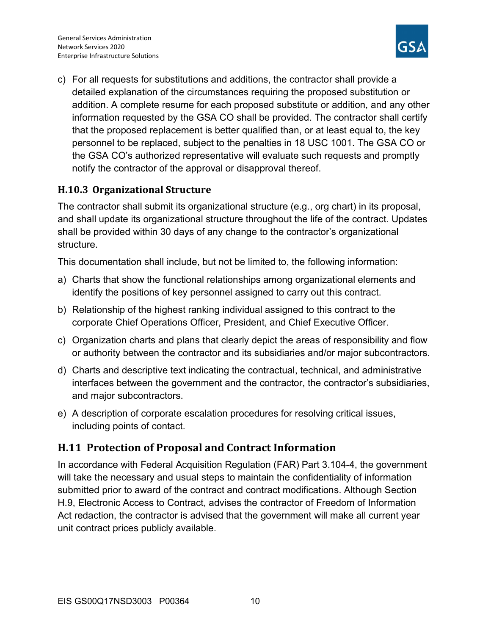

c) For all requests for substitutions and additions, the contractor shall provide a detailed explanation of the circumstances requiring the proposed substitution or addition. A complete resume for each proposed substitute or addition, and any other information requested by the GSA CO shall be provided. The contractor shall certify that the proposed replacement is better qualified than, or at least equal to, the key personnel to be replaced, subject to the penalties in 18 USC 1001. The GSA CO or the GSA CO's authorized representative will evaluate such requests and promptly notify the contractor of the approval or disapproval thereof.

## H.10.3 Organizational Structure

The contractor shall submit its organizational structure (e.g., org chart) in its proposal, and shall update its organizational structure throughout the life of the contract. Updates shall be provided within 30 days of any change to the contractor's organizational structure.

This documentation shall include, but not be limited to, the following information:

- a) Charts that show the functional relationships among organizational elements and identify the positions of key personnel assigned to carry out this contract.
- b) Relationship of the highest ranking individual assigned to this contract to the corporate Chief Operations Officer, President, and Chief Executive Officer.
- c) Organization charts and plans that clearly depict the areas of responsibility and flow or authority between the contractor and its subsidiaries and/or major subcontractors.
- d) Charts and descriptive text indicating the contractual, technical, and administrative interfaces between the government and the contractor, the contractor's subsidiaries, and major subcontractors.
- e) A description of corporate escalation procedures for resolving critical issues, including points of contact.

## H.11 Protection of Proposal and Contract Information

In accordance with Federal Acquisition Regulation (FAR) Part 3.104-4, the government will take the necessary and usual steps to maintain the confidentiality of information submitted prior to award of the contract and contract modifications. Although Section H.9, Electronic Access to Contract, advises the contractor of Freedom of Information Act redaction, the contractor is advised that the government will make all current year unit contract prices publicly available.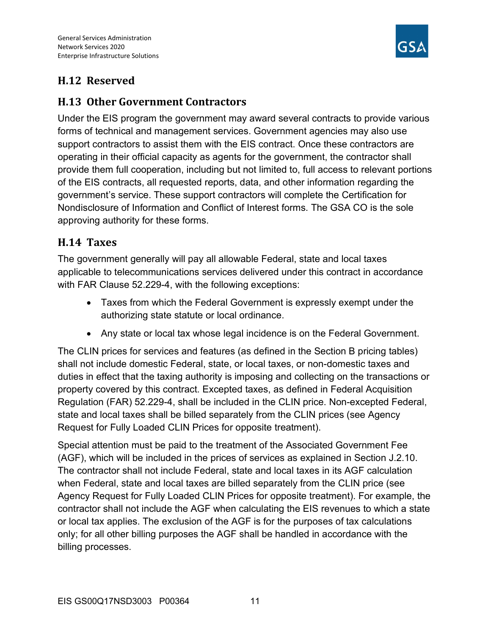

# H.12 Reserved

## H.13 Other Government Contractors

Under the EIS program the government may award several contracts to provide various forms of technical and management services. Government agencies may also use support contractors to assist them with the EIS contract. Once these contractors are operating in their official capacity as agents for the government, the contractor shall provide them full cooperation, including but not limited to, full access to relevant portions of the EIS contracts, all requested reports, data, and other information regarding the government's service. These support contractors will complete the Certification for Nondisclosure of Information and Conflict of Interest forms. The GSA CO is the sole approving authority for these forms.

## H.14 Taxes

The government generally will pay all allowable Federal, state and local taxes applicable to telecommunications services delivered under this contract in accordance with FAR Clause 52.229-4, with the following exceptions:

- Taxes from which the Federal Government is expressly exempt under the authorizing state statute or local ordinance.
- Any state or local tax whose legal incidence is on the Federal Government.

The CLIN prices for services and features (as defined in the Section B pricing tables) shall not include domestic Federal, state, or local taxes, or non-domestic taxes and duties in effect that the taxing authority is imposing and collecting on the transactions or property covered by this contract. Excepted taxes, as defined in Federal Acquisition Regulation (FAR) 52.229-4, shall be included in the CLIN price. Non-excepted Federal, state and local taxes shall be billed separately from the CLIN prices (see Agency Request for Fully Loaded CLIN Prices for opposite treatment).

Special attention must be paid to the treatment of the Associated Government Fee (AGF), which will be included in the prices of services as explained in Section J.2.10. The contractor shall not include Federal, state and local taxes in its AGF calculation when Federal, state and local taxes are billed separately from the CLIN price (see Agency Request for Fully Loaded CLIN Prices for opposite treatment). For example, the contractor shall not include the AGF when calculating the EIS revenues to which a state or local tax applies. The exclusion of the AGF is for the purposes of tax calculations only; for all other billing purposes the AGF shall be handled in accordance with the billing processes.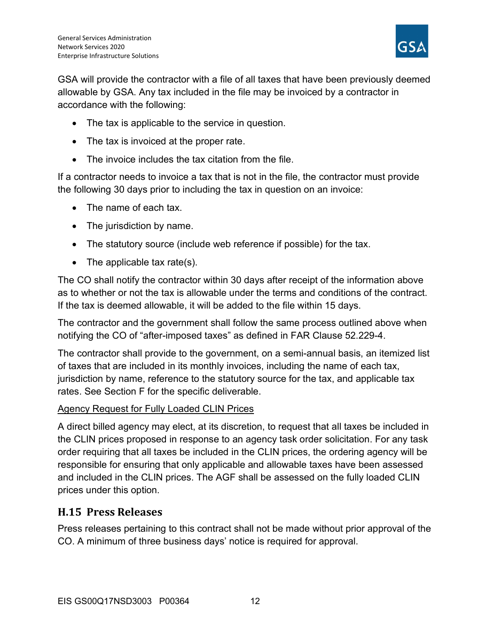

GSA will provide the contractor with a file of all taxes that have been previously deemed allowable by GSA. Any tax included in the file may be invoiced by a contractor in accordance with the following:

- The tax is applicable to the service in question.
- The tax is invoiced at the proper rate.
- The invoice includes the tax citation from the file.

If a contractor needs to invoice a tax that is not in the file, the contractor must provide the following 30 days prior to including the tax in question on an invoice:

- The name of each tax.
- The jurisdiction by name.
- The statutory source (include web reference if possible) for the tax.
- The applicable tax rate(s).

The CO shall notify the contractor within 30 days after receipt of the information above as to whether or not the tax is allowable under the terms and conditions of the contract. If the tax is deemed allowable, it will be added to the file within 15 days.

The contractor and the government shall follow the same process outlined above when notifying the CO of "after-imposed taxes" as defined in FAR Clause 52.229-4.

The contractor shall provide to the government, on a semi-annual basis, an itemized list of taxes that are included in its monthly invoices, including the name of each tax, jurisdiction by name, reference to the statutory source for the tax, and applicable tax rates. See Section F for the specific deliverable.

#### Agency Request for Fully Loaded CLIN Prices

A direct billed agency may elect, at its discretion, to request that all taxes be included in the CLIN prices proposed in response to an agency task order solicitation. For any task order requiring that all taxes be included in the CLIN prices, the ordering agency will be responsible for ensuring that only applicable and allowable taxes have been assessed and included in the CLIN prices. The AGF shall be assessed on the fully loaded CLIN prices under this option.

## H.15 Press Releases

Press releases pertaining to this contract shall not be made without prior approval of the CO. A minimum of three business days' notice is required for approval.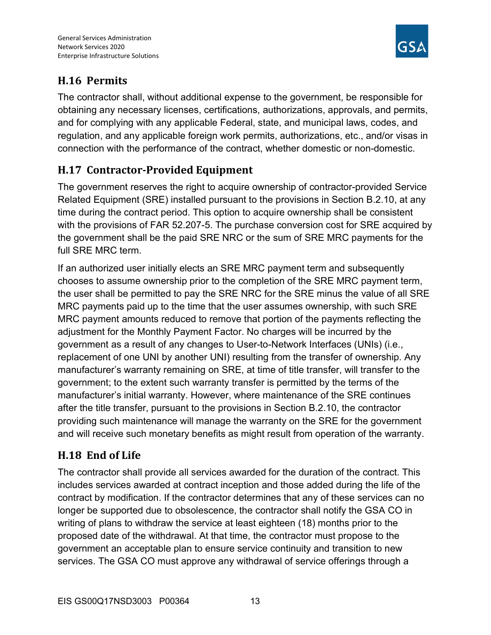

# H.16 Permits

The contractor shall, without additional expense to the government, be responsible for obtaining any necessary licenses, certifications, authorizations, approvals, and permits, and for complying with any applicable Federal, state, and municipal laws, codes, and regulation, and any applicable foreign work permits, authorizations, etc., and/or visas in connection with the performance of the contract, whether domestic or non-domestic.

# H.17 Contractor-Provided Equipment

The government reserves the right to acquire ownership of contractor-provided Service Related Equipment (SRE) installed pursuant to the provisions in Section B.2.10, at any time during the contract period. This option to acquire ownership shall be consistent with the provisions of FAR 52.207-5. The purchase conversion cost for SRE acquired by the government shall be the paid SRE NRC or the sum of SRE MRC payments for the full SRE MRC term.

If an authorized user initially elects an SRE MRC payment term and subsequently chooses to assume ownership prior to the completion of the SRE MRC payment term, the user shall be permitted to pay the SRE NRC for the SRE minus the value of all SRE MRC payments paid up to the time that the user assumes ownership, with such SRE MRC payment amounts reduced to remove that portion of the payments reflecting the adjustment for the Monthly Payment Factor. No charges will be incurred by the government as a result of any changes to User-to-Network Interfaces (UNIs) (i.e., replacement of one UNI by another UNI) resulting from the transfer of ownership. Any manufacturer's warranty remaining on SRE, at time of title transfer, will transfer to the government; to the extent such warranty transfer is permitted by the terms of the manufacturer's initial warranty. However, where maintenance of the SRE continues after the title transfer, pursuant to the provisions in Section B.2.10, the contractor providing such maintenance will manage the warranty on the SRE for the government and will receive such monetary benefits as might result from operation of the warranty.

# H.18 End of Life

The contractor shall provide all services awarded for the duration of the contract. This includes services awarded at contract inception and those added during the life of the contract by modification. If the contractor determines that any of these services can no longer be supported due to obsolescence, the contractor shall notify the GSA CO in writing of plans to withdraw the service at least eighteen (18) months prior to the proposed date of the withdrawal. At that time, the contractor must propose to the government an acceptable plan to ensure service continuity and transition to new services. The GSA CO must approve any withdrawal of service offerings through a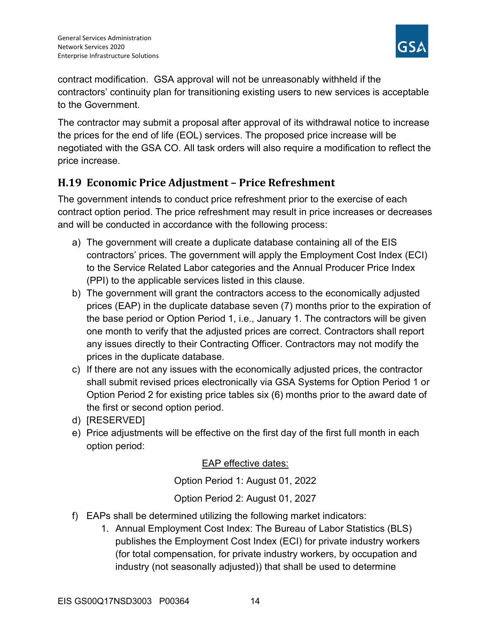

contract modification. GSA approval will not be unreasonably withheld if the contractors' continuity plan for transitioning existing users to new services is acceptable to the Government.

The contractor may submit a proposal after approval of its withdrawal notice to increase the prices for the end of life (EOL) services. The proposed price increase will be negotiated with the GSA CO. All task orders will also require a modification to reflect the price increase.

## H.19 Economic Price Adjustment – Price Refreshment

The government intends to conduct price refreshment prior to the exercise of each contract option period. The price refreshment may result in price increases or decreases and will be conducted in accordance with the following process:

- a) The government will create a duplicate database containing all of the EIS contractors' prices. The government will apply the Employment Cost Index (ECI) to the Service Related Labor categories and the Annual Producer Price Index (PPI) to the applicable services listed in this clause.
- b) The government will grant the contractors access to the economically adjusted prices (EAP) in the duplicate database seven (7) months prior to the expiration of the base period or Option Period 1, i.e., January 1. The contractors will be given one month to verify that the adjusted prices are correct. Contractors shall report any issues directly to their Contracting Officer. Contractors may not modify the prices in the duplicate database.
- c) If there are not any issues with the economically adjusted prices, the contractor shall submit revised prices electronically via GSA Systems for Option Period 1 or Option Period 2 for existing price tables six (6) months prior to the award date of the first or second option period.
- d) [RESERVED]
- e) Price adjustments will be effective on the first day of the first full month in each option period:

EAP effective dates:

Option Period 1: August 01, 2022

Option Period 2: August 01, 2027

- f) EAPs shall be determined utilizing the following market indicators:
	- 1. Annual Employment Cost Index: The Bureau of Labor Statistics (BLS) publishes the Employment Cost Index (ECI) for private industry workers (for total compensation, for private industry workers, by occupation and industry (not seasonally adjusted)) that shall be used to determine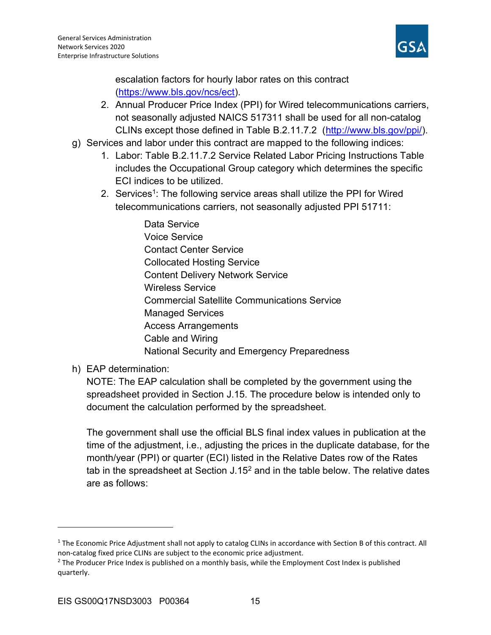

escalation factors for hourly labor rates on this contract (https://www.bls.gov/ncs/ect).

- 2. Annual Producer Price Index (PPI) for Wired telecommunications carriers, not seasonally adjusted NAICS 517311 shall be used for all non-catalog CLINs except those defined in Table B.2.11.7.2 (http://www.bls.gov/ppi/).
- g) Services and labor under this contract are mapped to the following indices:
	- 1. Labor: Table B.2.11.7.2 Service Related Labor Pricing Instructions Table includes the Occupational Group category which determines the specific ECI indices to be utilized.
	- 2. Services<sup>1</sup>: The following service areas shall utilize the PPI for Wired telecommunications carriers, not seasonally adjusted PPI 51711:
		- Data Service Voice Service Contact Center Service Collocated Hosting Service Content Delivery Network Service Wireless Service Commercial Satellite Communications Service Managed Services Access Arrangements Cable and Wiring National Security and Emergency Preparedness
- h) EAP determination:

NOTE: The EAP calculation shall be completed by the government using the spreadsheet provided in Section J.15. The procedure below is intended only to document the calculation performed by the spreadsheet.

The government shall use the official BLS final index values in publication at the time of the adjustment, i.e., adjusting the prices in the duplicate database, for the month/year (PPI) or quarter (ECI) listed in the Relative Dates row of the Rates tab in the spreadsheet at Section J.15<sup>2</sup> and in the table below. The relative dates are as follows:

<sup>&</sup>lt;sup>1</sup> The Economic Price Adjustment shall not apply to catalog CLINs in accordance with Section B of this contract. All non-catalog fixed price CLINs are subject to the economic price adjustment.

<sup>&</sup>lt;sup>2</sup> The Producer Price Index is published on a monthly basis, while the Employment Cost Index is published quarterly.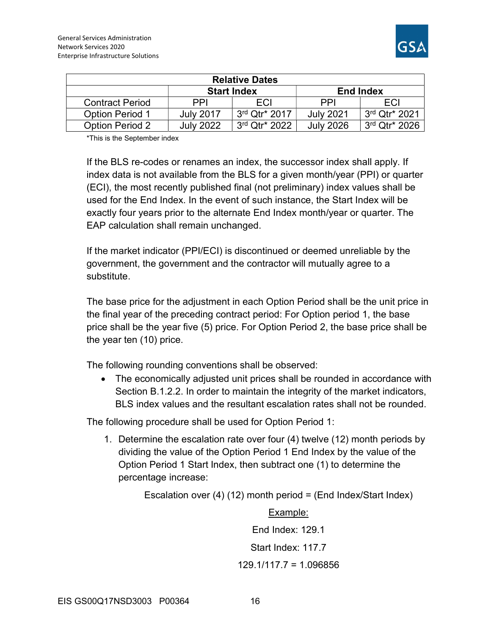| <b>Relative Dates</b>  |                  |                             |                  |                             |  |  |  |  |  |
|------------------------|------------------|-----------------------------|------------------|-----------------------------|--|--|--|--|--|
|                        |                  | <b>Start Index</b>          | <b>End Index</b> |                             |  |  |  |  |  |
| <b>Contract Period</b> | PPI              | <b>FCI</b>                  | <b>PPI</b>       | ECI                         |  |  |  |  |  |
| <b>Option Period 1</b> | <b>July 2017</b> | $3rd$ Qtr <sup>*</sup> 2017 | <b>July 2021</b> | $3rd$ Qtr <sup>*</sup> 2021 |  |  |  |  |  |
| <b>Option Period 2</b> | <b>July 2022</b> | 3rd Qtr* 2022               | <b>July 2026</b> | 3rd Qtr* 2026               |  |  |  |  |  |

\*This is the September index

If the BLS re-codes or renames an index, the successor index shall apply. If index data is not available from the BLS for a given month/year (PPI) or quarter (ECI), the most recently published final (not preliminary) index values shall be used for the End Index. In the event of such instance, the Start Index will be exactly four years prior to the alternate End Index month/year or quarter. The EAP calculation shall remain unchanged.

If the market indicator (PPI/ECI) is discontinued or deemed unreliable by the government, the government and the contractor will mutually agree to a substitute.

The base price for the adjustment in each Option Period shall be the unit price in the final year of the preceding contract period: For Option period 1, the base price shall be the year five (5) price. For Option Period 2, the base price shall be the year ten (10) price.

The following rounding conventions shall be observed:

 The economically adjusted unit prices shall be rounded in accordance with Section B.1.2.2. In order to maintain the integrity of the market indicators, BLS index values and the resultant escalation rates shall not be rounded.

The following procedure shall be used for Option Period 1:

1. Determine the escalation rate over four (4) twelve (12) month periods by dividing the value of the Option Period 1 End Index by the value of the Option Period 1 Start Index, then subtract one (1) to determine the percentage increase:

Escalation over (4) (12) month period = (End Index/Start Index)

Example: End Index: 129.1 Start Index: 117.7 129.1/117.7 = 1.096856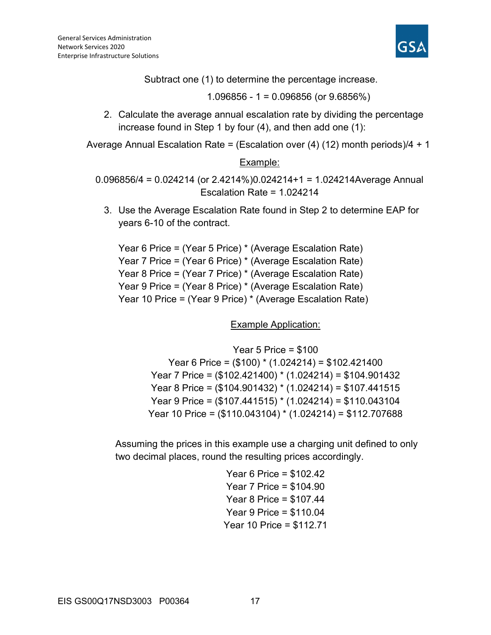

Subtract one (1) to determine the percentage increase.

1.096856 - 1 = 0.096856 (or 9.6856%)

2. Calculate the average annual escalation rate by dividing the percentage increase found in Step 1 by four (4), and then add one (1):

Average Annual Escalation Rate = (Escalation over (4) (12) month periods)/4 + 1

#### Example:

0.096856/4 = 0.024214 (or 2.4214%)0.024214+1 = 1.024214Average Annual Escalation Rate = 1.024214

3. Use the Average Escalation Rate found in Step 2 to determine EAP for years 6-10 of the contract.

```
Year 6 Price = (Year 5 Price) * (Average Escalation Rate) 
Year 7 Price = (Year 6 Price) * (Average Escalation Rate) 
Year 8 Price = (Year 7 Price) * (Average Escalation Rate) 
Year 9 Price = (Year 8 Price) * (Average Escalation Rate) 
Year 10 Price = (Year 9 Price) * (Average Escalation Rate)
```
Example Application:

Year 5 Price = \$100 Year 6 Price = (\$100) \* (1.024214) = \$102.421400 Year 7 Price = (\$102.421400) \* (1.024214) = \$104.901432 Year 8 Price = (\$104.901432) \* (1.024214) = \$107.441515 Year 9 Price = (\$107.441515) \* (1.024214) = \$110.043104 Year 10 Price = (\$110.043104) \* (1.024214) = \$112.707688

Assuming the prices in this example use a charging unit defined to only two decimal places, round the resulting prices accordingly.

> Year 6 Price = \$102.42 Year 7 Price = \$104.90 Year 8 Price = \$107.44 Year 9 Price = \$110.04 Year 10 Price = \$112.71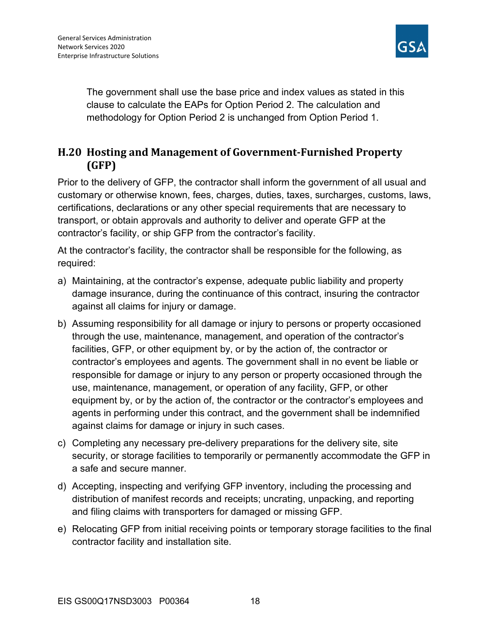

The government shall use the base price and index values as stated in this clause to calculate the EAPs for Option Period 2. The calculation and methodology for Option Period 2 is unchanged from Option Period 1.

## H.20 Hosting and Management of Government-Furnished Property (GFP)

Prior to the delivery of GFP, the contractor shall inform the government of all usual and customary or otherwise known, fees, charges, duties, taxes, surcharges, customs, laws, certifications, declarations or any other special requirements that are necessary to transport, or obtain approvals and authority to deliver and operate GFP at the contractor's facility, or ship GFP from the contractor's facility.

At the contractor's facility, the contractor shall be responsible for the following, as required:

- a) Maintaining, at the contractor's expense, adequate public liability and property damage insurance, during the continuance of this contract, insuring the contractor against all claims for injury or damage.
- b) Assuming responsibility for all damage or injury to persons or property occasioned through the use, maintenance, management, and operation of the contractor's facilities, GFP, or other equipment by, or by the action of, the contractor or contractor's employees and agents. The government shall in no event be liable or responsible for damage or injury to any person or property occasioned through the use, maintenance, management, or operation of any facility, GFP, or other equipment by, or by the action of, the contractor or the contractor's employees and agents in performing under this contract, and the government shall be indemnified against claims for damage or injury in such cases.
- c) Completing any necessary pre-delivery preparations for the delivery site, site security, or storage facilities to temporarily or permanently accommodate the GFP in a safe and secure manner.
- d) Accepting, inspecting and verifying GFP inventory, including the processing and distribution of manifest records and receipts; uncrating, unpacking, and reporting and filing claims with transporters for damaged or missing GFP.
- e) Relocating GFP from initial receiving points or temporary storage facilities to the final contractor facility and installation site.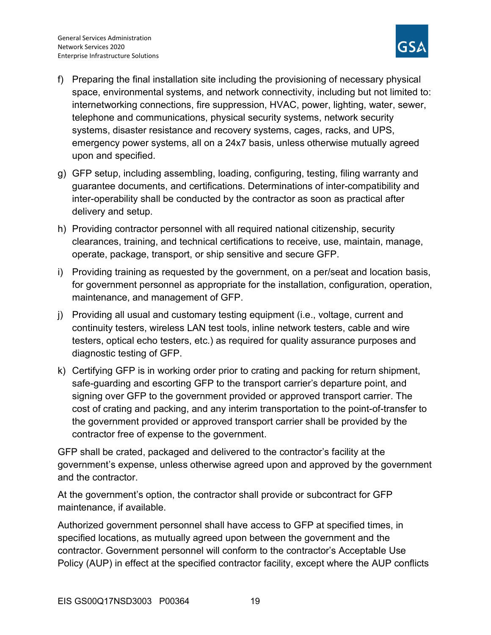

- f) Preparing the final installation site including the provisioning of necessary physical space, environmental systems, and network connectivity, including but not limited to: internetworking connections, fire suppression, HVAC, power, lighting, water, sewer, telephone and communications, physical security systems, network security systems, disaster resistance and recovery systems, cages, racks, and UPS, emergency power systems, all on a 24x7 basis, unless otherwise mutually agreed upon and specified.
- g) GFP setup, including assembling, loading, configuring, testing, filing warranty and guarantee documents, and certifications. Determinations of inter-compatibility and inter-operability shall be conducted by the contractor as soon as practical after delivery and setup.
- h) Providing contractor personnel with all required national citizenship, security clearances, training, and technical certifications to receive, use, maintain, manage, operate, package, transport, or ship sensitive and secure GFP.
- i) Providing training as requested by the government, on a per/seat and location basis, for government personnel as appropriate for the installation, configuration, operation, maintenance, and management of GFP.
- j) Providing all usual and customary testing equipment (i.e., voltage, current and continuity testers, wireless LAN test tools, inline network testers, cable and wire testers, optical echo testers, etc.) as required for quality assurance purposes and diagnostic testing of GFP.
- k) Certifying GFP is in working order prior to crating and packing for return shipment, safe-guarding and escorting GFP to the transport carrier's departure point, and signing over GFP to the government provided or approved transport carrier. The cost of crating and packing, and any interim transportation to the point-of-transfer to the government provided or approved transport carrier shall be provided by the contractor free of expense to the government.

GFP shall be crated, packaged and delivered to the contractor's facility at the government's expense, unless otherwise agreed upon and approved by the government and the contractor.

At the government's option, the contractor shall provide or subcontract for GFP maintenance, if available.

Authorized government personnel shall have access to GFP at specified times, in specified locations, as mutually agreed upon between the government and the contractor. Government personnel will conform to the contractor's Acceptable Use Policy (AUP) in effect at the specified contractor facility, except where the AUP conflicts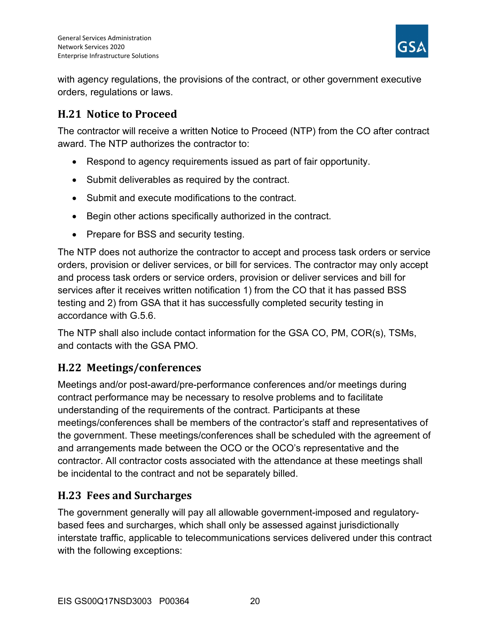

with agency regulations, the provisions of the contract, or other government executive orders, regulations or laws.

# H.21 Notice to Proceed

The contractor will receive a written Notice to Proceed (NTP) from the CO after contract award. The NTP authorizes the contractor to:

- Respond to agency requirements issued as part of fair opportunity.
- Submit deliverables as required by the contract.
- Submit and execute modifications to the contract.
- Begin other actions specifically authorized in the contract.
- Prepare for BSS and security testing.

The NTP does not authorize the contractor to accept and process task orders or service orders, provision or deliver services, or bill for services. The contractor may only accept and process task orders or service orders, provision or deliver services and bill for services after it receives written notification 1) from the CO that it has passed BSS testing and 2) from GSA that it has successfully completed security testing in accordance with G.5.6.

The NTP shall also include contact information for the GSA CO, PM, COR(s), TSMs, and contacts with the GSA PMO.

## H.22 Meetings/conferences

Meetings and/or post-award/pre-performance conferences and/or meetings during contract performance may be necessary to resolve problems and to facilitate understanding of the requirements of the contract. Participants at these meetings/conferences shall be members of the contractor's staff and representatives of the government. These meetings/conferences shall be scheduled with the agreement of and arrangements made between the OCO or the OCO's representative and the contractor. All contractor costs associated with the attendance at these meetings shall be incidental to the contract and not be separately billed.

## H.23 Fees and Surcharges

The government generally will pay all allowable government-imposed and regulatorybased fees and surcharges, which shall only be assessed against jurisdictionally interstate traffic, applicable to telecommunications services delivered under this contract with the following exceptions: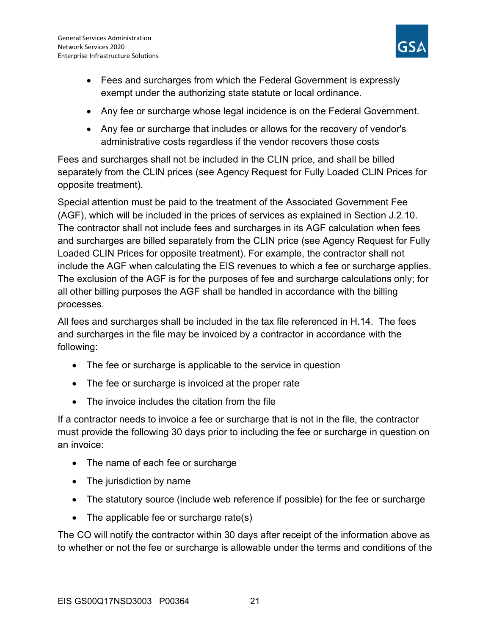

- Fees and surcharges from which the Federal Government is expressly exempt under the authorizing state statute or local ordinance.
- Any fee or surcharge whose legal incidence is on the Federal Government.
- Any fee or surcharge that includes or allows for the recovery of vendor's administrative costs regardless if the vendor recovers those costs

Fees and surcharges shall not be included in the CLIN price, and shall be billed separately from the CLIN prices (see Agency Request for Fully Loaded CLIN Prices for opposite treatment).

Special attention must be paid to the treatment of the Associated Government Fee (AGF), which will be included in the prices of services as explained in Section J.2.10. The contractor shall not include fees and surcharges in its AGF calculation when fees and surcharges are billed separately from the CLIN price (see Agency Request for Fully Loaded CLIN Prices for opposite treatment). For example, the contractor shall not include the AGF when calculating the EIS revenues to which a fee or surcharge applies. The exclusion of the AGF is for the purposes of fee and surcharge calculations only; for all other billing purposes the AGF shall be handled in accordance with the billing processes.

All fees and surcharges shall be included in the tax file referenced in H.14. The fees and surcharges in the file may be invoiced by a contractor in accordance with the following:

- The fee or surcharge is applicable to the service in question
- The fee or surcharge is invoiced at the proper rate
- The invoice includes the citation from the file

If a contractor needs to invoice a fee or surcharge that is not in the file, the contractor must provide the following 30 days prior to including the fee or surcharge in question on an invoice:

- The name of each fee or surcharge
- The jurisdiction by name
- The statutory source (include web reference if possible) for the fee or surcharge
- The applicable fee or surcharge rate(s)

The CO will notify the contractor within 30 days after receipt of the information above as to whether or not the fee or surcharge is allowable under the terms and conditions of the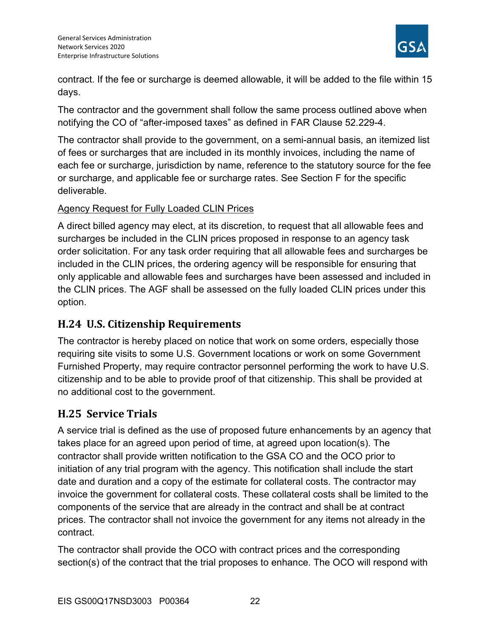

contract. If the fee or surcharge is deemed allowable, it will be added to the file within 15 days.

The contractor and the government shall follow the same process outlined above when notifying the CO of "after-imposed taxes" as defined in FAR Clause 52.229-4.

The contractor shall provide to the government, on a semi-annual basis, an itemized list of fees or surcharges that are included in its monthly invoices, including the name of each fee or surcharge, jurisdiction by name, reference to the statutory source for the fee or surcharge, and applicable fee or surcharge rates. See Section F for the specific deliverable.

#### Agency Request for Fully Loaded CLIN Prices

A direct billed agency may elect, at its discretion, to request that all allowable fees and surcharges be included in the CLIN prices proposed in response to an agency task order solicitation. For any task order requiring that all allowable fees and surcharges be included in the CLIN prices, the ordering agency will be responsible for ensuring that only applicable and allowable fees and surcharges have been assessed and included in the CLIN prices. The AGF shall be assessed on the fully loaded CLIN prices under this option.

## H.24 U.S. Citizenship Requirements

The contractor is hereby placed on notice that work on some orders, especially those requiring site visits to some U.S. Government locations or work on some Government Furnished Property, may require contractor personnel performing the work to have U.S. citizenship and to be able to provide proof of that citizenship. This shall be provided at no additional cost to the government.

# H.25 Service Trials

A service trial is defined as the use of proposed future enhancements by an agency that takes place for an agreed upon period of time, at agreed upon location(s). The contractor shall provide written notification to the GSA CO and the OCO prior to initiation of any trial program with the agency. This notification shall include the start date and duration and a copy of the estimate for collateral costs. The contractor may invoice the government for collateral costs. These collateral costs shall be limited to the components of the service that are already in the contract and shall be at contract prices. The contractor shall not invoice the government for any items not already in the contract.

The contractor shall provide the OCO with contract prices and the corresponding section(s) of the contract that the trial proposes to enhance. The OCO will respond with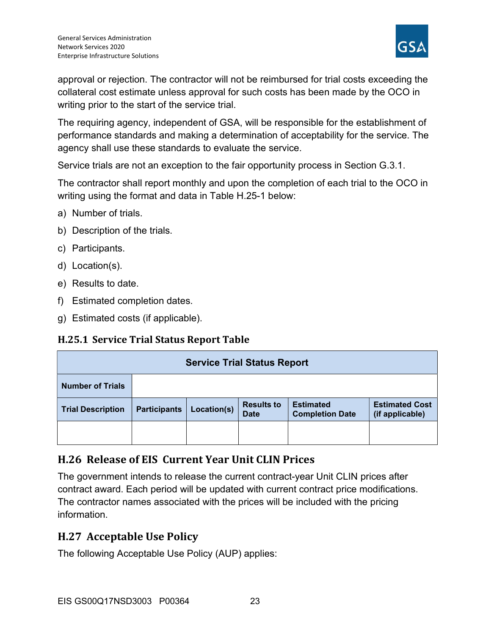

approval or rejection. The contractor will not be reimbursed for trial costs exceeding the collateral cost estimate unless approval for such costs has been made by the OCO in writing prior to the start of the service trial.

The requiring agency, independent of GSA, will be responsible for the establishment of performance standards and making a determination of acceptability for the service. The agency shall use these standards to evaluate the service.

Service trials are not an exception to the fair opportunity process in Section G.3.1.

The contractor shall report monthly and upon the completion of each trial to the OCO in writing using the format and data in Table H.25-1 below:

- a) Number of trials.
- b) Description of the trials.
- c) Participants.
- d) Location(s).
- e) Results to date.
- f) Estimated completion dates.
- g) Estimated costs (if applicable).

## H.25.1 Service Trial Status Report Table

| <b>Service Trial Status Report</b> |                     |             |                                  |                                            |                                          |  |  |  |  |  |
|------------------------------------|---------------------|-------------|----------------------------------|--------------------------------------------|------------------------------------------|--|--|--|--|--|
| <b>Number of Trials</b>            |                     |             |                                  |                                            |                                          |  |  |  |  |  |
| <b>Trial Description</b>           | <b>Participants</b> | Location(s) | <b>Results to</b><br><b>Date</b> | <b>Estimated</b><br><b>Completion Date</b> | <b>Estimated Cost</b><br>(if applicable) |  |  |  |  |  |
|                                    |                     |             |                                  |                                            |                                          |  |  |  |  |  |

## H.26 Release of EIS Current Year Unit CLIN Prices

The government intends to release the current contract-year Unit CLIN prices after contract award. Each period will be updated with current contract price modifications. The contractor names associated with the prices will be included with the pricing information.

## H.27 Acceptable Use Policy

The following Acceptable Use Policy (AUP) applies: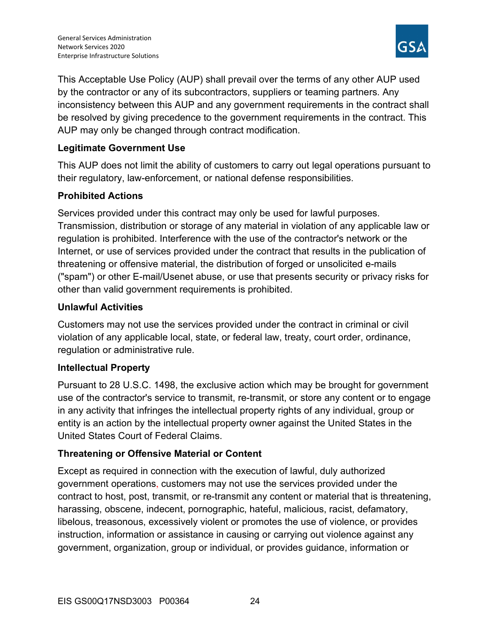

This Acceptable Use Policy (AUP) shall prevail over the terms of any other AUP used by the contractor or any of its subcontractors, suppliers or teaming partners. Any inconsistency between this AUP and any government requirements in the contract shall be resolved by giving precedence to the government requirements in the contract. This AUP may only be changed through contract modification.

#### Legitimate Government Use

This AUP does not limit the ability of customers to carry out legal operations pursuant to their regulatory, law-enforcement, or national defense responsibilities.

#### Prohibited Actions

Services provided under this contract may only be used for lawful purposes. Transmission, distribution or storage of any material in violation of any applicable law or regulation is prohibited. Interference with the use of the contractor's network or the Internet, or use of services provided under the contract that results in the publication of threatening or offensive material, the distribution of forged or unsolicited e-mails ("spam") or other E-mail/Usenet abuse, or use that presents security or privacy risks for other than valid government requirements is prohibited.

#### Unlawful Activities

Customers may not use the services provided under the contract in criminal or civil violation of any applicable local, state, or federal law, treaty, court order, ordinance, regulation or administrative rule.

#### Intellectual Property

Pursuant to 28 U.S.C. 1498, the exclusive action which may be brought for government use of the contractor's service to transmit, re-transmit, or store any content or to engage in any activity that infringes the intellectual property rights of any individual, group or entity is an action by the intellectual property owner against the United States in the United States Court of Federal Claims.

## Threatening or Offensive Material or Content

Except as required in connection with the execution of lawful, duly authorized government operations, customers may not use the services provided under the contract to host, post, transmit, or re-transmit any content or material that is threatening, harassing, obscene, indecent, pornographic, hateful, malicious, racist, defamatory, libelous, treasonous, excessively violent or promotes the use of violence, or provides instruction, information or assistance in causing or carrying out violence against any government, organization, group or individual, or provides guidance, information or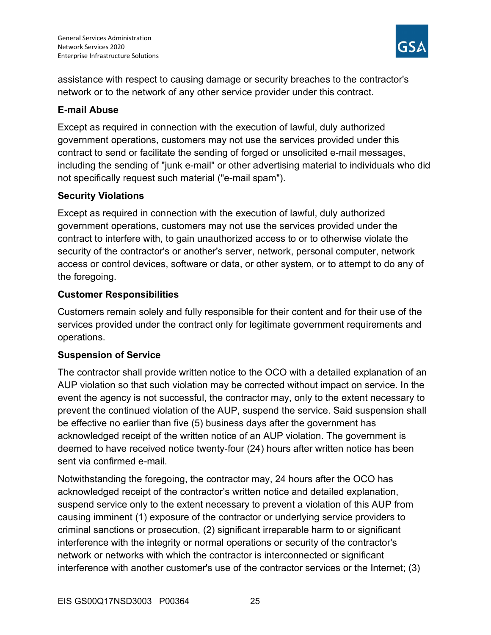

assistance with respect to causing damage or security breaches to the contractor's network or to the network of any other service provider under this contract.

#### E-mail Abuse

Except as required in connection with the execution of lawful, duly authorized government operations, customers may not use the services provided under this contract to send or facilitate the sending of forged or unsolicited e-mail messages, including the sending of "junk e-mail" or other advertising material to individuals who did not specifically request such material ("e-mail spam").

#### Security Violations

Except as required in connection with the execution of lawful, duly authorized government operations, customers may not use the services provided under the contract to interfere with, to gain unauthorized access to or to otherwise violate the security of the contractor's or another's server, network, personal computer, network access or control devices, software or data, or other system, or to attempt to do any of the foregoing.

#### Customer Responsibilities

Customers remain solely and fully responsible for their content and for their use of the services provided under the contract only for legitimate government requirements and operations.

#### Suspension of Service

The contractor shall provide written notice to the OCO with a detailed explanation of an AUP violation so that such violation may be corrected without impact on service. In the event the agency is not successful, the contractor may, only to the extent necessary to prevent the continued violation of the AUP, suspend the service. Said suspension shall be effective no earlier than five (5) business days after the government has acknowledged receipt of the written notice of an AUP violation. The government is deemed to have received notice twenty-four (24) hours after written notice has been sent via confirmed e-mail.

Notwithstanding the foregoing, the contractor may, 24 hours after the OCO has acknowledged receipt of the contractor's written notice and detailed explanation, suspend service only to the extent necessary to prevent a violation of this AUP from causing imminent (1) exposure of the contractor or underlying service providers to criminal sanctions or prosecution, (2) significant irreparable harm to or significant interference with the integrity or normal operations or security of the contractor's network or networks with which the contractor is interconnected or significant interference with another customer's use of the contractor services or the Internet; (3)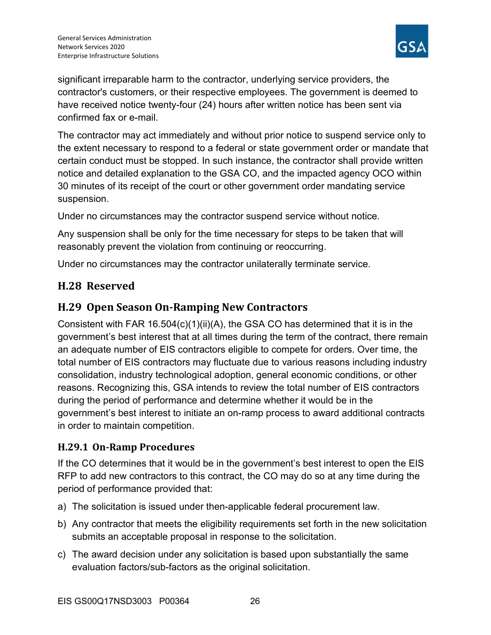

significant irreparable harm to the contractor, underlying service providers, the contractor's customers, or their respective employees. The government is deemed to have received notice twenty-four (24) hours after written notice has been sent via confirmed fax or e-mail.

The contractor may act immediately and without prior notice to suspend service only to the extent necessary to respond to a federal or state government order or mandate that certain conduct must be stopped. In such instance, the contractor shall provide written notice and detailed explanation to the GSA CO, and the impacted agency OCO within 30 minutes of its receipt of the court or other government order mandating service suspension.

Under no circumstances may the contractor suspend service without notice.

Any suspension shall be only for the time necessary for steps to be taken that will reasonably prevent the violation from continuing or reoccurring.

Under no circumstances may the contractor unilaterally terminate service.

## H.28 Reserved

## H.29 Open Season On-Ramping New Contractors

Consistent with FAR 16.504(c)(1)(ii)(A), the GSA CO has determined that it is in the government's best interest that at all times during the term of the contract, there remain an adequate number of EIS contractors eligible to compete for orders. Over time, the total number of EIS contractors may fluctuate due to various reasons including industry consolidation, industry technological adoption, general economic conditions, or other reasons. Recognizing this, GSA intends to review the total number of EIS contractors during the period of performance and determine whether it would be in the government's best interest to initiate an on-ramp process to award additional contracts in order to maintain competition.

## H.29.1 On-Ramp Procedures

If the CO determines that it would be in the government's best interest to open the EIS RFP to add new contractors to this contract, the CO may do so at any time during the period of performance provided that:

- a) The solicitation is issued under then-applicable federal procurement law.
- b) Any contractor that meets the eligibility requirements set forth in the new solicitation submits an acceptable proposal in response to the solicitation.
- c) The award decision under any solicitation is based upon substantially the same evaluation factors/sub-factors as the original solicitation.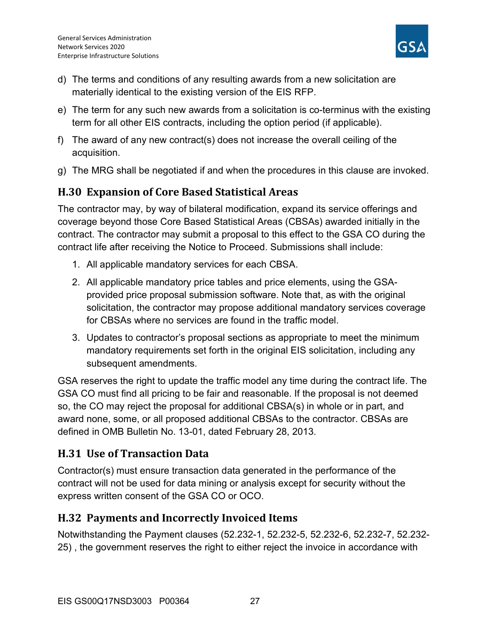

- d) The terms and conditions of any resulting awards from a new solicitation are materially identical to the existing version of the EIS RFP.
- e) The term for any such new awards from a solicitation is co-terminus with the existing term for all other EIS contracts, including the option period (if applicable).
- f) The award of any new contract(s) does not increase the overall ceiling of the acquisition.
- g) The MRG shall be negotiated if and when the procedures in this clause are invoked.

# H.30 Expansion of Core Based Statistical Areas

The contractor may, by way of bilateral modification, expand its service offerings and coverage beyond those Core Based Statistical Areas (CBSAs) awarded initially in the contract. The contractor may submit a proposal to this effect to the GSA CO during the contract life after receiving the Notice to Proceed. Submissions shall include:

- 1. All applicable mandatory services for each CBSA.
- 2. All applicable mandatory price tables and price elements, using the GSAprovided price proposal submission software. Note that, as with the original solicitation, the contractor may propose additional mandatory services coverage for CBSAs where no services are found in the traffic model.
- 3. Updates to contractor's proposal sections as appropriate to meet the minimum mandatory requirements set forth in the original EIS solicitation, including any subsequent amendments.

GSA reserves the right to update the traffic model any time during the contract life. The GSA CO must find all pricing to be fair and reasonable. If the proposal is not deemed so, the CO may reject the proposal for additional CBSA(s) in whole or in part, and award none, some, or all proposed additional CBSAs to the contractor. CBSAs are defined in OMB Bulletin No. 13-01, dated February 28, 2013.

# H.31 Use of Transaction Data

Contractor(s) must ensure transaction data generated in the performance of the contract will not be used for data mining or analysis except for security without the express written consent of the GSA CO or OCO.

## H.32 Payments and Incorrectly Invoiced Items

Notwithstanding the Payment clauses (52.232-1, 52.232-5, 52.232-6, 52.232-7, 52.232- 25) , the government reserves the right to either reject the invoice in accordance with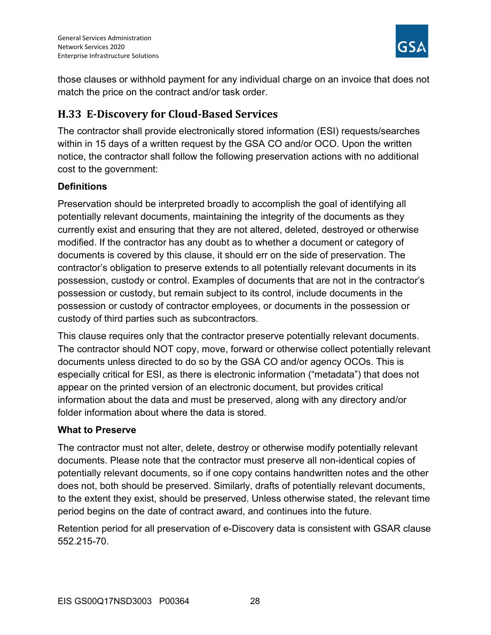

those clauses or withhold payment for any individual charge on an invoice that does not match the price on the contract and/or task order.

# H.33 E-Discovery for Cloud-Based Services

The contractor shall provide electronically stored information (ESI) requests/searches within in 15 days of a written request by the GSA CO and/or OCO. Upon the written notice, the contractor shall follow the following preservation actions with no additional cost to the government:

## **Definitions**

Preservation should be interpreted broadly to accomplish the goal of identifying all potentially relevant documents, maintaining the integrity of the documents as they currently exist and ensuring that they are not altered, deleted, destroyed or otherwise modified. If the contractor has any doubt as to whether a document or category of documents is covered by this clause, it should err on the side of preservation. The contractor's obligation to preserve extends to all potentially relevant documents in its possession, custody or control. Examples of documents that are not in the contractor's possession or custody, but remain subject to its control, include documents in the possession or custody of contractor employees, or documents in the possession or custody of third parties such as subcontractors.

This clause requires only that the contractor preserve potentially relevant documents. The contractor should NOT copy, move, forward or otherwise collect potentially relevant documents unless directed to do so by the GSA CO and/or agency OCOs. This is especially critical for ESI, as there is electronic information ("metadata") that does not appear on the printed version of an electronic document, but provides critical information about the data and must be preserved, along with any directory and/or folder information about where the data is stored.

#### What to Preserve

The contractor must not alter, delete, destroy or otherwise modify potentially relevant documents. Please note that the contractor must preserve all non-identical copies of potentially relevant documents, so if one copy contains handwritten notes and the other does not, both should be preserved. Similarly, drafts of potentially relevant documents, to the extent they exist, should be preserved. Unless otherwise stated, the relevant time period begins on the date of contract award, and continues into the future.

Retention period for all preservation of e-Discovery data is consistent with GSAR clause 552.215-70.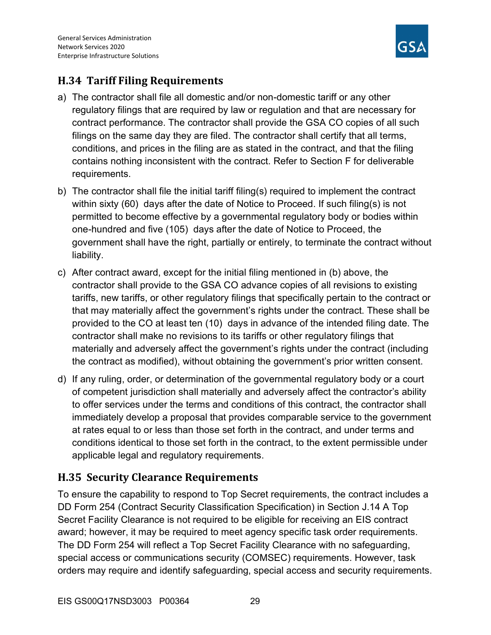

# H.34 Tariff Filing Requirements

- a) The contractor shall file all domestic and/or non-domestic tariff or any other regulatory filings that are required by law or regulation and that are necessary for contract performance. The contractor shall provide the GSA CO copies of all such filings on the same day they are filed. The contractor shall certify that all terms, conditions, and prices in the filing are as stated in the contract, and that the filing contains nothing inconsistent with the contract. Refer to Section F for deliverable requirements.
- b) The contractor shall file the initial tariff filing(s) required to implement the contract within sixty (60) days after the date of Notice to Proceed. If such filing(s) is not permitted to become effective by a governmental regulatory body or bodies within one-hundred and five (105) days after the date of Notice to Proceed, the government shall have the right, partially or entirely, to terminate the contract without liability.
- c) After contract award, except for the initial filing mentioned in (b) above, the contractor shall provide to the GSA CO advance copies of all revisions to existing tariffs, new tariffs, or other regulatory filings that specifically pertain to the contract or that may materially affect the government's rights under the contract. These shall be provided to the CO at least ten (10) days in advance of the intended filing date. The contractor shall make no revisions to its tariffs or other regulatory filings that materially and adversely affect the government's rights under the contract (including the contract as modified), without obtaining the government's prior written consent.
- d) If any ruling, order, or determination of the governmental regulatory body or a court of competent jurisdiction shall materially and adversely affect the contractor's ability to offer services under the terms and conditions of this contract, the contractor shall immediately develop a proposal that provides comparable service to the government at rates equal to or less than those set forth in the contract, and under terms and conditions identical to those set forth in the contract, to the extent permissible under applicable legal and regulatory requirements.

# H.35 Security Clearance Requirements

To ensure the capability to respond to Top Secret requirements, the contract includes a DD Form 254 (Contract Security Classification Specification) in Section J.14 A Top Secret Facility Clearance is not required to be eligible for receiving an EIS contract award; however, it may be required to meet agency specific task order requirements. The DD Form 254 will reflect a Top Secret Facility Clearance with no safeguarding, special access or communications security (COMSEC) requirements. However, task orders may require and identify safeguarding, special access and security requirements.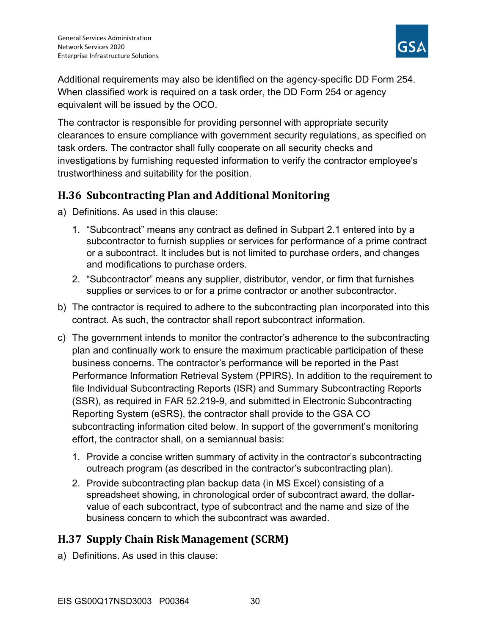

Additional requirements may also be identified on the agency-specific DD Form 254. When classified work is required on a task order, the DD Form 254 or agency equivalent will be issued by the OCO.

The contractor is responsible for providing personnel with appropriate security clearances to ensure compliance with government security regulations, as specified on task orders. The contractor shall fully cooperate on all security checks and investigations by furnishing requested information to verify the contractor employee's trustworthiness and suitability for the position.

## H.36 Subcontracting Plan and Additional Monitoring

- a) Definitions. As used in this clause:
	- 1. "Subcontract" means any contract as defined in Subpart 2.1 entered into by a subcontractor to furnish supplies or services for performance of a prime contract or a subcontract. It includes but is not limited to purchase orders, and changes and modifications to purchase orders.
	- 2. "Subcontractor" means any supplier, distributor, vendor, or firm that furnishes supplies or services to or for a prime contractor or another subcontractor.
- b) The contractor is required to adhere to the subcontracting plan incorporated into this contract. As such, the contractor shall report subcontract information.
- c) The government intends to monitor the contractor's adherence to the subcontracting plan and continually work to ensure the maximum practicable participation of these business concerns. The contractor's performance will be reported in the Past Performance Information Retrieval System (PPIRS). In addition to the requirement to file Individual Subcontracting Reports (ISR) and Summary Subcontracting Reports (SSR), as required in FAR 52.219-9, and submitted in Electronic Subcontracting Reporting System (eSRS), the contractor shall provide to the GSA CO subcontracting information cited below. In support of the government's monitoring effort, the contractor shall, on a semiannual basis:
	- 1. Provide a concise written summary of activity in the contractor's subcontracting outreach program (as described in the contractor's subcontracting plan).
	- 2. Provide subcontracting plan backup data (in MS Excel) consisting of a spreadsheet showing, in chronological order of subcontract award, the dollarvalue of each subcontract, type of subcontract and the name and size of the business concern to which the subcontract was awarded.

# H.37 Supply Chain Risk Management (SCRM)

a) Definitions. As used in this clause: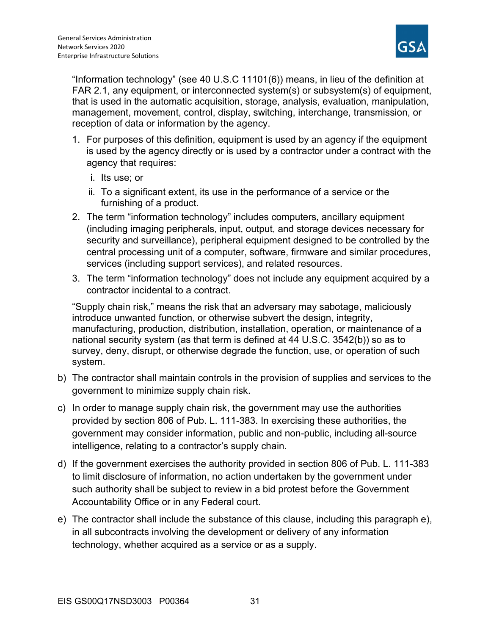

"Information technology" (see 40 U.S.C 11101(6)) means, in lieu of the definition at FAR 2.1, any equipment, or interconnected system(s) or subsystem(s) of equipment, that is used in the automatic acquisition, storage, analysis, evaluation, manipulation, management, movement, control, display, switching, interchange, transmission, or reception of data or information by the agency.

- 1. For purposes of this definition, equipment is used by an agency if the equipment is used by the agency directly or is used by a contractor under a contract with the agency that requires:
	- i. Its use; or
	- ii. To a significant extent, its use in the performance of a service or the furnishing of a product.
- 2. The term "information technology" includes computers, ancillary equipment (including imaging peripherals, input, output, and storage devices necessary for security and surveillance), peripheral equipment designed to be controlled by the central processing unit of a computer, software, firmware and similar procedures, services (including support services), and related resources.
- 3. The term "information technology" does not include any equipment acquired by a contractor incidental to a contract.

"Supply chain risk," means the risk that an adversary may sabotage, maliciously introduce unwanted function, or otherwise subvert the design, integrity, manufacturing, production, distribution, installation, operation, or maintenance of a national security system (as that term is defined at 44 U.S.C. 3542(b)) so as to survey, deny, disrupt, or otherwise degrade the function, use, or operation of such system.

- b) The contractor shall maintain controls in the provision of supplies and services to the government to minimize supply chain risk.
- c) In order to manage supply chain risk, the government may use the authorities provided by section 806 of Pub. L. 111-383. In exercising these authorities, the government may consider information, public and non-public, including all-source intelligence, relating to a contractor's supply chain.
- d) If the government exercises the authority provided in section 806 of Pub. L. 111-383 to limit disclosure of information, no action undertaken by the government under such authority shall be subject to review in a bid protest before the Government Accountability Office or in any Federal court.
- e) The contractor shall include the substance of this clause, including this paragraph e), in all subcontracts involving the development or delivery of any information technology, whether acquired as a service or as a supply.